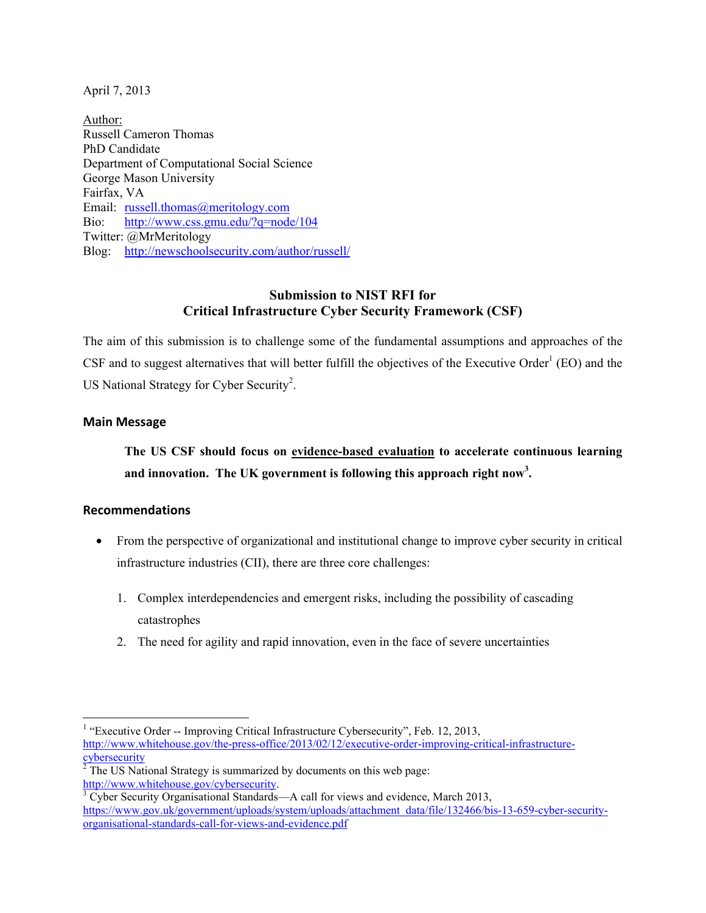April 7, 2013

 Department of Computational Social Science George Mason University Bio: http://www.css.gmu.edu/?q=node/104<br>Twitter: @MrMeritology Author: Russell Cameron Thomas PhD Candidate Fairfax, VA Email: russell.thomas@meritology.com Blog: http://newschoolsecurity.com/author/russell/

## **Submission to NIST RFI for Critical Infrastructure Cyber Security Framework (CSF)**

CSF and to suggest alternatives that will better fulfill the objectives of the Executive Order<sup>1</sup> (EO) and the US National Strategy for Cyber Security<sup>2</sup>. The aim of this submission is to challenge some of the fundamental assumptions and approaches of the

## **Main Message**

**The US CSF should focus on evidence-based evaluation to accelerate continuous learning and innovation. The UK government is following this approach right now<sup>3</sup> .** 

## **Recommendations**

- • From the perspective of organizational and institutional change to improve cyber security in critical infrastructure industries (CII), there are three core challenges:
	- 1. Complex interdependencies and emergent risks, including the possibility of cascading catastrophes
	- 2. The need for agility and rapid innovation, even in the face of severe uncertainties

 $2^{2}$  The US National Strategy is summarized by documents on this web page: http://www.whitehouse.gov/cybersecurity.

l <sup>1</sup> "Executive Order -- Improving Critical Infrastructure Cybersecurity", Feb. 12, 2013, cybersecurity http://www.whitehouse.gov/the-press-office/2013/02/12/executive-order-improving-critical-infrastructure-

 Cyber Security Organisational Standards—A call for views and evidence, March 2013, organisational-standards-call-for-views-and-evidence.pdf https://www.gov.uk/government/uploads/system/uploads/attachment\_data/file/132466/bis-13-659-cyber-security-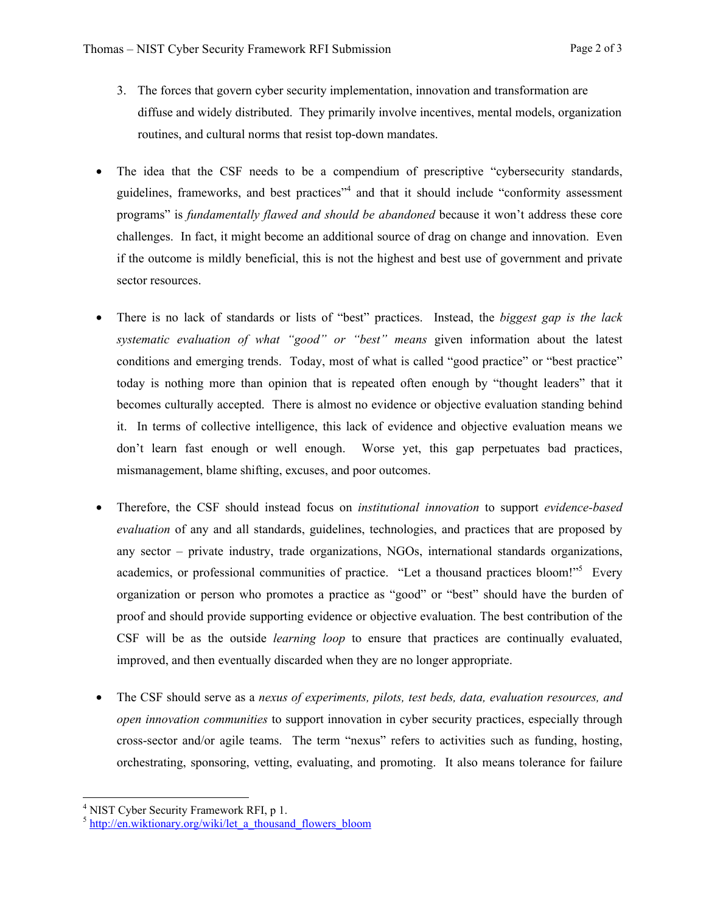- 3. The forces that govern cyber security implementation, innovation and transformation are diffuse and widely distributed. They primarily involve incentives, mental models, organization routines, and cultural norms that resist top-down mandates.
- programs" is *fundamentally flawed and should be abandoned* because it won't address these core challenges. In fact, it might become an additional source of drag on change and innovation. Even if the outcome is mildly beneficial, this is not the highest and best use of government and private The idea that the CSF needs to be a compendium of prescriptive "cybersecurity standards, guidelines, frameworks, and best practices<sup>"4</sup> and that it should include "conformity assessment sector resources.
- today is nothing more than opinion that is repeated often enough by "thought leaders" that it becomes culturally accepted. There is almost no evidence or objective evaluation standing behind it. In terms of collective intelligence, this lack of evidence and objective evaluation means we • There is no lack of standards or lists of "best" practices. Instead, the *biggest gap is the lack systematic evaluation of what "good" or "best" means* given information about the latest conditions and emerging trends. Today, most of what is called "good practice" or "best practice" don't learn fast enough or well enough. Worse yet, this gap perpetuates bad practices, mismanagement, blame shifting, excuses, and poor outcomes.
- academics, or professional communities of practice. "Let a thousand practices bloom!"<sup>5</sup> Every CSF will be as the outside *learning loop* to ensure that practices are continually evaluated, • Therefore, the CSF should instead focus on *institutional innovation* to support *evidence-based evaluation* of any and all standards, guidelines, technologies, and practices that are proposed by any sector – private industry, trade organizations, NGOs, international standards organizations, organization or person who promotes a practice as "good" or "best" should have the burden of proof and should provide supporting evidence or objective evaluation. The best contribution of the improved, and then eventually discarded when they are no longer appropriate.
- *open innovation communities* to support innovation in cyber security practices, especially through cross-sector and/or agile teams. The term "nexus" refers to activities such as funding, hosting, • The CSF should serve as a *nexus of experiments, pilots, test beds, data, evaluation resources, and*  orchestrating, sponsoring, vetting, evaluating, and promoting. It also means tolerance for failure

 4 NIST Cyber Security Framework RFI, p 1.

 $5$  http://en.wiktionary.org/wiki/let a thousand flowers bloom